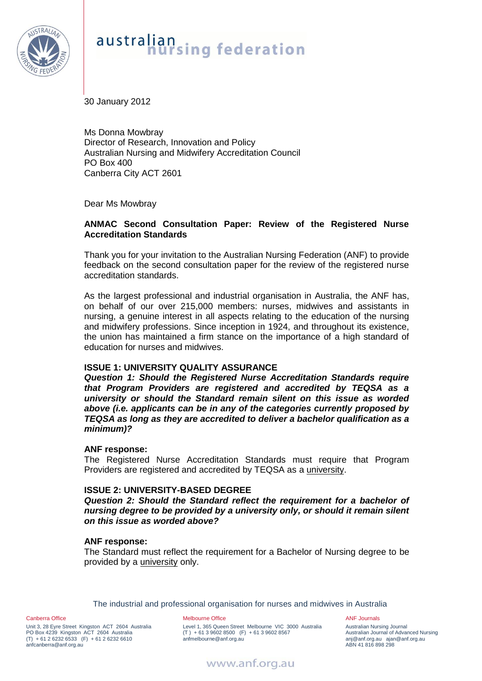

# australian<br>**hursing** federation

30 January 2012

Ms Donna Mowbray Director of Research, Innovation and Policy Australian Nursing and Midwifery Accreditation Council PO Box 400 Canberra City ACT 2601

Dear Ms Mowbray

#### **ANMAC Second Consultation Paper: Review of the Registered Nurse Accreditation Standards**

Thank you for your invitation to the Australian Nursing Federation (ANF) to provide feedback on the second consultation paper for the review of the registered nurse accreditation standards.

As the largest professional and industrial organisation in Australia, the ANF has, on behalf of our over 215,000 members: nurses, midwives and assistants in nursing, a genuine interest in all aspects relating to the education of the nursing and midwifery professions. Since inception in 1924, and throughout its existence, the union has maintained a firm stance on the importance of a high standard of education for nurses and midwives.

## **ISSUE 1: UNIVERSITY QUALITY ASSURANCE**

*Question 1: Should the Registered Nurse Accreditation Standards require that Program Providers are registered and accredited by TEQSA as a university or should the Standard remain silent on this issue as worded above (i.e. applicants can be in any of the categories currently proposed by TEQSA as long as they are accredited to deliver a bachelor qualification as a minimum)?* 

#### **ANF response:**

The Registered Nurse Accreditation Standards must require that Program Providers are registered and accredited by TEQSA as a university.

#### **ISSUE 2: UNIVERSITY-BASED DEGREE**

*Question 2: Should the Standard reflect the requirement for a bachelor of nursing degree to be provided by a university only, or should it remain silent on this issue as worded above?*

#### **ANF response:**

The Standard must reflect the requirement for a Bachelor of Nursing degree to be provided by a university only.

The industrial and professional organisation for nurses and midwives in Australia

Canberra Office

Unit 3, 28 Eyre Street Kingston ACT 2604 Australia PO Box 4239 Kingston ACT 2604 Australia (T) + 61 2 6232 6533 (F) + 61 2 6232 6610 anfcanberra@anf.org.au

#### Melbourne Office

Level 1, 365 Queen Street Melbourne VIC 3000 Australia  $(T) + 61396028500$  (F) + 61 3 9602 8567 anfmelbourne@anf.org.au

ANF Journals Australian Nursing Journal Australian Journal of Advanced Nursing anj@anf.org.au ajan@anf.org.au ABN 41 816 898 298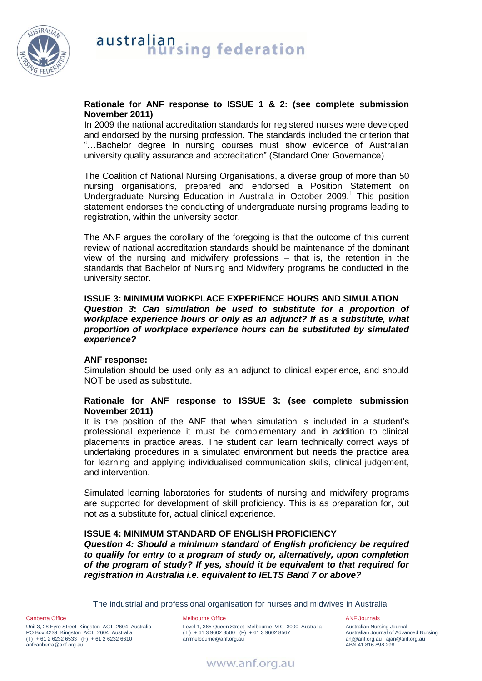

## **Rationale for ANF response to ISSUE 1 & 2: (see complete submission November 2011)**

In 2009 the national accreditation standards for registered nurses were developed and endorsed by the nursing profession. The standards included the criterion that "…Bachelor degree in nursing courses must show evidence of Australian university quality assurance and accreditation" (Standard One: Governance).

The Coalition of National Nursing Organisations, a diverse group of more than 50 nursing organisations, prepared and endorsed a Position Statement on Undergraduate Nursing Education in Australia in October 2009.<sup>1</sup> This position statement endorses the conducting of undergraduate nursing programs leading to registration, within the university sector.

The ANF argues the corollary of the foregoing is that the outcome of this current review of national accreditation standards should be maintenance of the dominant view of the nursing and midwifery professions – that is, the retention in the standards that Bachelor of Nursing and Midwifery programs be conducted in the university sector.

**ISSUE 3: MINIMUM WORKPLACE EXPERIENCE HOURS AND SIMULATION** *Question 3***:** *Can simulation be used to substitute for a proportion of workplace experience hours or only as an adjunct? If as a substitute, what proportion of workplace experience hours can be substituted by simulated experience?* 

## **ANF response:**

Simulation should be used only as an adjunct to clinical experience, and should NOT be used as substitute.

#### **Rationale for ANF response to ISSUE 3: (see complete submission November 2011)**

It is the position of the ANF that when simulation is included in a student's professional experience it must be complementary and in addition to clinical placements in practice areas. The student can learn technically correct ways of undertaking procedures in a simulated environment but needs the practice area for learning and applying individualised communication skills, clinical judgement, and intervention.

Simulated learning laboratories for students of nursing and midwifery programs are supported for development of skill proficiency. This is as preparation for, but not as a substitute for, actual clinical experience.

## **ISSUE 4: MINIMUM STANDARD OF ENGLISH PROFICIENCY**

*Question 4: Should a minimum standard of English proficiency be required to qualify for entry to a program of study or, alternatively, upon completion of the program of study? If yes, should it be equivalent to that required for registration in Australia i.e. equivalent to IELTS Band 7 or above?* 

The industrial and professional organisation for nurses and midwives in Australia

Canberra Office Unit 3, 28 Eyre Street Kingston ACT 2604 Australia PO Box 4239 Kingston ACT 2604 Australia (T) + 61 2 6232 6533 (F) + 61 2 6232 6610 anfcanberra@anf.org.au

Melbourne Office Level 1, 365 Queen Street Melbourne VIC 3000 Australia  $(T) + 61396028500$  (F) + 61 3 9602 8567 anfmelbourne@anf.org.au

ANF Journals Australian Nursing Journal Australian Journal of Advanced Nursing anj@anf.org.au ajan@anf.org.au ABN 41 816 898 298

www.anf.org.au